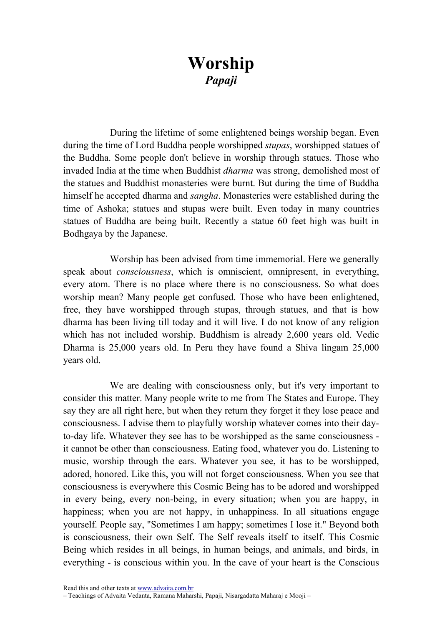## Worship Papaji

During the lifetime of some enlightened beings worship began. Even during the time of Lord Buddha people worshipped stupas, worshipped statues of the Buddha. Some people don't believe in worship through statues. Those who invaded India at the time when Buddhist dharma was strong, demolished most of the statues and Buddhist monasteries were burnt. But during the time of Buddha himself he accepted dharma and sangha. Monasteries were established during the time of Ashoka; statues and stupas were built. Even today in many countries statues of Buddha are being built. Recently a statue 60 feet high was built in Bodhgaya by the Japanese.

Worship has been advised from time immemorial. Here we generally speak about *consciousness*, which is omniscient, omnipresent, in everything, every atom. There is no place where there is no consciousness. So what does worship mean? Many people get confused. Those who have been enlightened, free, they have worshipped through stupas, through statues, and that is how dharma has been living till today and it will live. I do not know of any religion which has not included worship. Buddhism is already 2,600 years old. Vedic Dharma is 25,000 years old. In Peru they have found a Shiva lingam 25,000 years old.

We are dealing with consciousness only, but it's very important to consider this matter. Many people write to me from The States and Europe. They say they are all right here, but when they return they forget it they lose peace and consciousness. I advise them to playfully worship whatever comes into their dayto-day life. Whatever they see has to be worshipped as the same consciousness it cannot be other than consciousness. Eating food, whatever you do. Listening to music, worship through the ears. Whatever you see, it has to be worshipped, adored, honored. Like this, you will not forget consciousness. When you see that consciousness is everywhere this Cosmic Being has to be adored and worshipped in every being, every non-being, in every situation; when you are happy, in happiness; when you are not happy, in unhappiness. In all situations engage yourself. People say, "Sometimes I am happy; sometimes I lose it." Beyond both is consciousness, their own Self. The Self reveals itself to itself. This Cosmic Being which resides in all beings, in human beings, and animals, and birds, in everything - is conscious within you. In the cave of your heart is the Conscious

Read this and other texts at www.advaita.com.br

<sup>–</sup> Teachings of Advaita Vedanta, Ramana Maharshi, Papaji, Nisargadatta Maharaj e Mooji –